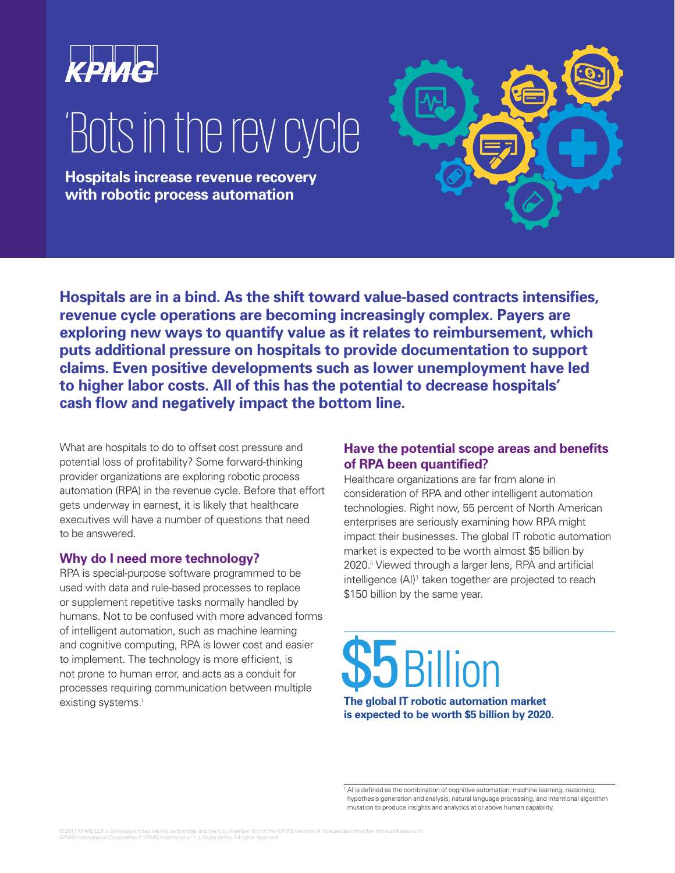

## 'Bots in the rev cycle

**Hospitals increase revenue recovery with robotic process automation**

**Hospitals are in a bind. As the shift toward value-based contracts intensifies, revenue cycle operations are becoming increasingly complex. Payers are exploring new ways to quantify value as it relates to reimbursement, which puts additional pressure on hospitals to provide documentation to support claims. Even positive developments such as lower unemployment have led to higher labor costs. All of this has the potential to decrease hospitals' cash flow and negatively impact the bottom line.** 

What are hospitals to do to offset cost pressure and potential loss of profitability? Some forward-thinking provider organizations are exploring robotic process automation (RPA) in the revenue cycle. Before that effort gets underway in earnest, it is likely that healthcare executives will have a number of questions that need to be answered.

#### **Why do I need more technology?**

RPA is special-purpose software programmed to be used with data and rule-based processes to replace or supplement repetitive tasks normally handled by humans. Not to be confused with more advanced forms of intelligent automation, such as machine learning and cognitive computing, RPA is lower cost and easier to implement. The technology is more efficient, is not prone to human error, and acts as a conduit for processes requiring communication between multiple existing systems.<sup>i</sup>

#### **Have the potential scope areas and benefits of RPA been quantified?**

Healthcare organizations are far from alone in consideration of RPA and other intelligent automation technologies. Right now, 55 percent of North American enterprises are seriously examining how RPA might impact their businesses. The global IT robotic automation market is expected to be worth almost \$5 billion by 2020.<sup>ii</sup> Viewed through a larger lens, RPA and artificial intelligence (AI)<sup>1</sup> taken together are projected to reach \$150 billion by the same year.

# \$5 Billion

**The global IT robotic automation market is expected to be worth \$5 billion by 2020.**

<sup>1</sup> AI is defined as the combination of cognitive automation, machine learning, reasoning, hypothesis generation and analysis, natural language processing, and intentional algorithm mutation to produce insights and analytics at or above human capability.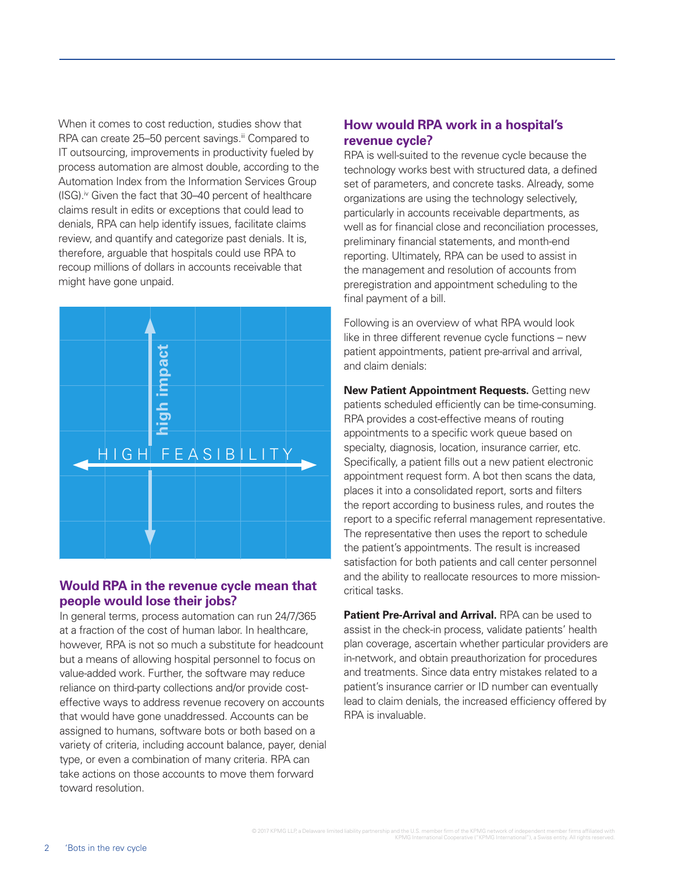When it comes to cost reduction, studies show that RPA can create 25–50 percent savings.<sup>iii</sup> Compared to IT outsourcing, improvements in productivity fueled by process automation are almost double, according to the Automation Index from the Information Services Group  $(ISG)$ .<sup>iv</sup> Given the fact that 30–40 percent of healthcare claims result in edits or exceptions that could lead to denials, RPA can help identify issues, facilitate claims review, and quantify and categorize past denials. It is, therefore, arguable that hospitals could use RPA to recoup millions of dollars in accounts receivable that might have gone unpaid.



#### **Would RPA in the revenue cycle mean that people would lose their jobs?**

In general terms, process automation can run 24/7/365 at a fraction of the cost of human labor. In healthcare, however, RPA is not so much a substitute for headcount but a means of allowing hospital personnel to focus on value-added work. Further, the software may reduce reliance on third-party collections and/or provide costeffective ways to address revenue recovery on accounts that would have gone unaddressed. Accounts can be assigned to humans, software bots or both based on a variety of criteria, including account balance, payer, denial type, or even a combination of many criteria. RPA can take actions on those accounts to move them forward toward resolution.

#### **How would RPA work in a hospital's revenue cycle?**

RPA is well-suited to the revenue cycle because the technology works best with structured data, a defined set of parameters, and concrete tasks. Already, some organizations are using the technology selectively, particularly in accounts receivable departments, as well as for financial close and reconciliation processes, preliminary financial statements, and month-end reporting. Ultimately, RPA can be used to assist in the management and resolution of accounts from preregistration and appointment scheduling to the final payment of a bill.

Following is an overview of what RPA would look like in three different revenue cycle functions – new patient appointments, patient pre-arrival and arrival, and claim denials:

**New Patient Appointment Requests.** Getting new patients scheduled efficiently can be time-consuming. RPA provides a cost-effective means of routing appointments to a specific work queue based on specialty, diagnosis, location, insurance carrier, etc. Specifically, a patient fills out a new patient electronic appointment request form. A bot then scans the data, places it into a consolidated report, sorts and filters the report according to business rules, and routes the report to a specific referral management representative. The representative then uses the report to schedule the patient's appointments. The result is increased satisfaction for both patients and call center personnel and the ability to reallocate resources to more missioncritical tasks.

**Patient Pre-Arrival and Arrival.** RPA can be used to assist in the check-in process, validate patients' health plan coverage, ascertain whether particular providers are in-network, and obtain preauthorization for procedures and treatments. Since data entry mistakes related to a patient's insurance carrier or ID number can eventually lead to claim denials, the increased efficiency offered by RPA is invaluable.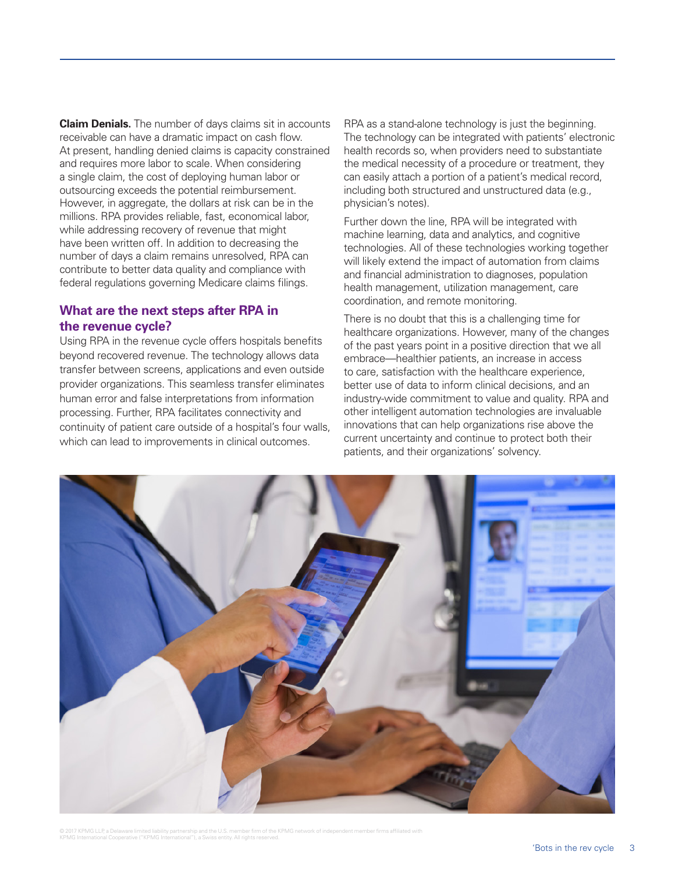**Claim Denials.** The number of days claims sit in accounts receivable can have a dramatic impact on cash flow. At present, handling denied claims is capacity constrained and requires more labor to scale. When considering a single claim, the cost of deploying human labor or outsourcing exceeds the potential reimbursement. However, in aggregate, the dollars at risk can be in the millions. RPA provides reliable, fast, economical labor, while addressing recovery of revenue that might have been written off. In addition to decreasing the number of days a claim remains unresolved, RPA can contribute to better data quality and compliance with federal regulations governing Medicare claims filings.

#### **What are the next steps after RPA in the revenue cycle?**

Using RPA in the revenue cycle offers hospitals benefits beyond recovered revenue. The technology allows data transfer between screens, applications and even outside provider organizations. This seamless transfer eliminates human error and false interpretations from information processing. Further, RPA facilitates connectivity and continuity of patient care outside of a hospital's four walls, which can lead to improvements in clinical outcomes.

RPA as a stand-alone technology is just the beginning. The technology can be integrated with patients' electronic health records so, when providers need to substantiate the medical necessity of a procedure or treatment, they can easily attach a portion of a patient's medical record, including both structured and unstructured data (e.g., physician's notes).

Further down the line, RPA will be integrated with machine learning, data and analytics, and cognitive technologies. All of these technologies working together will likely extend the impact of automation from claims and financial administration to diagnoses, population health management, utilization management, care coordination, and remote monitoring.

There is no doubt that this is a challenging time for healthcare organizations. However, many of the changes of the past years point in a positive direction that we all embrace—healthier patients, an increase in access to care, satisfaction with the healthcare experience, better use of data to inform clinical decisions, and an industry-wide commitment to value and quality. RPA and other intelligent automation technologies are invaluable innovations that can help organizations rise above the current uncertainty and continue to protect both their patients, and their organizations' solvency.



© 2017 KPMG LLP, a Delaware limited liability partnership and the U.S. member firm of the KPMG network of independent member firms affiliated with<br>KPMG International Cooperative ("KPMG International"), a Swiss entity. All